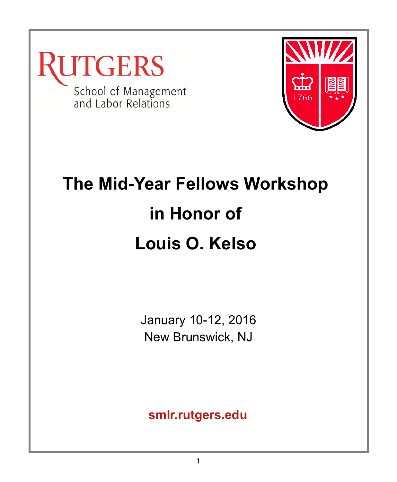



## **The Mid-Year Fellows Workshop in Honor of Louis O. Kelso**

January 10-12, 2016 New Brunswick, NJ

**smlr.rutgers.edu**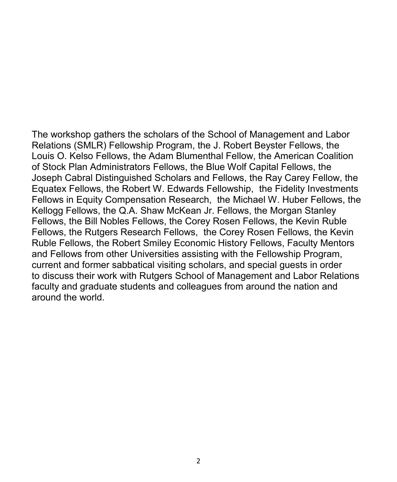The workshop gathers the scholars of the School of Management and Labor Relations (SMLR) Fellowship Program, the J. Robert Beyster Fellows, the Louis O. Kelso Fellows, the Adam Blumenthal Fellow, the American Coalition of Stock Plan Administrators Fellows, the Blue Wolf Capital Fellows, the Joseph Cabral Distinguished Scholars and Fellows, the Ray Carey Fellow, the Equatex Fellows, the Robert W. Edwards Fellowship, the Fidelity Investments Fellows in Equity Compensation Research, the Michael W. Huber Fellows, the Kellogg Fellows, the Q.A. Shaw McKean Jr. Fellows, the Morgan Stanley Fellows, the Bill Nobles Fellows, the Corey Rosen Fellows, the Kevin Ruble Fellows, the Rutgers Research Fellows, the Corey Rosen Fellows, the Kevin Ruble Fellows, the Robert Smiley Economic History Fellows, Faculty Mentors and Fellows from other Universities assisting with the Fellowship Program, current and former sabbatical visiting scholars, and special guests in order to discuss their work with Rutgers School of Management and Labor Relations faculty and graduate students and colleagues from around the nation and around the world.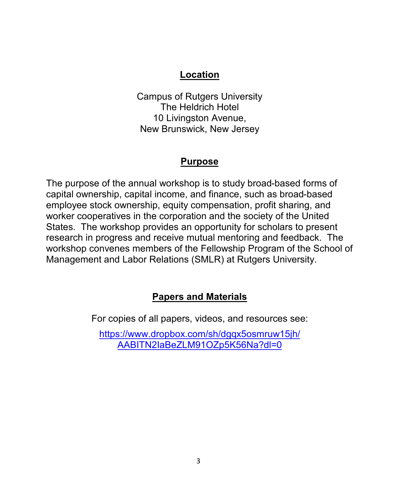### **Location**

Campus of Rutgers University The Heldrich Hotel 10 Livingston Avenue, New Brunswick, New Jersey

### **Purpose**

The purpose of the annual workshop is to study broad-based forms of capital ownership, capital income, and finance, such as broad-based employee stock ownership, equity compensation, profit sharing, and worker cooperatives in the corporation and the society of the United States. The workshop provides an opportunity for scholars to present research in progress and receive mutual mentoring and feedback. The workshop convenes members of the Fellowship Program of the School of Management and Labor Relations (SMLR) at Rutgers University.

### **Papers and Materials**

For copies of all papers, videos, and resources see:

[https://www.dropbox.com/sh/dgqx5osmruw15jh/](https://www.dropbox.com/sh/dgqx5osmruw15jh/AABITN2IaBeZLM91OZp5K56Na?dl=0) [AABITN2IaBeZLM91OZp5K56Na?dl=0](https://www.dropbox.com/sh/dgqx5osmruw15jh/AABITN2IaBeZLM91OZp5K56Na?dl=0)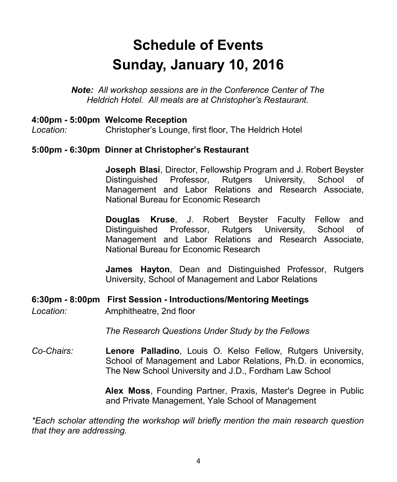### **Schedule of Events Sunday, January 10, 2016**

*Note: All workshop sessions are in the Conference Center of The Heldrich Hotel. All meals are at Christopher's Restaurant.*

### **4:00pm - 5:00pm Welcome Reception**

*Location:* Christopher's Lounge, first floor, The Heldrich Hotel

### **5:00pm - 6:30pm Dinner at Christopher's Restaurant**

**Joseph Blasi**, Director, Fellowship Program and J. Robert Beyster Distinguished Professor, Rutgers University, School of Management and Labor Relations and Research Associate, National Bureau for Economic Research

**Douglas Kruse**, J. Robert Beyster Faculty Fellow and Distinguished Professor, Rutgers University, School of Management and Labor Relations and Research Associate, National Bureau for Economic Research

**James Hayton**, Dean and Distinguished Professor, Rutgers University, School of Management and Labor Relations

### **6:30pm - 8:00pm First Session - Introductions/Mentoring Meetings**

*Location:* Amphitheatre, 2nd floor

*The Research Questions Under Study by the Fellows*

*Co-Chairs:* **Lenore Palladino**, Louis O. Kelso Fellow, Rutgers University, School of Management and Labor Relations, Ph.D. in economics, The New School University and J.D., Fordham Law School

> **Alex Moss**, Founding Partner, Praxis, Master's Degree in Public and Private Management, Yale School of Management

*\*Each scholar attending the workshop will briefly mention the main research question that they are addressing.*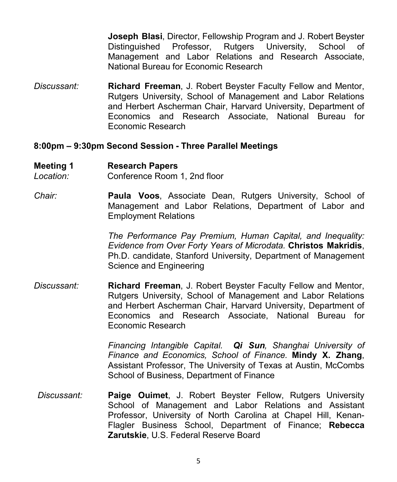**Joseph Blasi**, Director, Fellowship Program and J. Robert Beyster Distinguished Professor, Rutgers University, School of Management and Labor Relations and Research Associate, National Bureau for Economic Research

*Discussant:* **Richard Freeman**, J. Robert Beyster Faculty Fellow and Mentor, Rutgers University, School of Management and Labor Relations and Herbert Ascherman Chair, Harvard University, Department of Economics and Research Associate, National Bureau for Economic Research

### **8:00pm – 9:30pm Second Session - Three Parallel Meetings**

#### **Meeting 1 Research Papers**

*Location:* Conference Room 1, 2nd floor

*Chair:* **Paula Voos**, Associate Dean, Rutgers University, School of Management and Labor Relations, Department of Labor and Employment Relations

> *The Performance Pay Premium, Human Capital, and Inequality: Evidence from Over Forty Years of Microdata.* **Christos Makridis**, Ph.D. candidate, Stanford University, Department of Management Science and Engineering

*Discussant:* **Richard Freeman**, J. Robert Beyster Faculty Fellow and Mentor, Rutgers University, School of Management and Labor Relations and Herbert Ascherman Chair, Harvard University, Department of Economics and Research Associate, National Bureau for Economic Research

> *Financing Intangible Capital. Qi Sun, Shanghai University of Finance and Economics, School of Finance.* **Mindy X. Zhang**, Assistant Professor, The University of Texas at Austin, McCombs School of Business, Department of Finance

*Discussant:* **Paige Ouimet**, J. Robert Beyster Fellow, Rutgers University School of Management and Labor Relations and Assistant Professor, University of North Carolina at Chapel Hill, Kenan-Flagler Business School, Department of Finance; **Rebecca Zarutskie**, U.S. Federal Reserve Board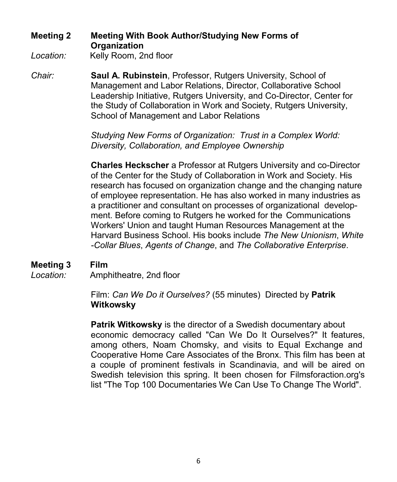### **Meeting 2 Meeting With Book Author/Studying New Forms of Organization**

Location: Kelly Room, 2nd floor

*Chair:* **Saul A. Rubinstein**, Professor, Rutgers University, School of Management and Labor Relations, Director, Collaborative School Leadership Initiative, Rutgers University, and Co-Director, Center for the Study of Collaboration in Work and Society, Rutgers University, School of Management and Labor Relations

> *Studying New Forms of Organization: Trust in a Complex World: Diversity, Collaboration, and Employee Ownership*

**Charles Heckscher** a Professor at Rutgers University and co-Director of the Center for the Study of Collaboration in Work and Society. His research has focused on organization change and the changing nature of employee representation. He has also worked in many industries as a practitioner and consultant on processes of organizational development. Before coming to Rutgers he worked for the Communications Workers' Union and taught Human Resources Management at the Harvard Business School. His books include *The New Unionism*, *White -Collar Blues*, *Agents of Change*, and *The Collaborative Enterprise*.

### **Meeting 3 Film**

*Location:* Amphitheatre, 2nd floor

Film: *Can We Do it Ourselves?* (55 minutes) Directed by **Patrik Witkowsky**

**Patrik Witkowsky** is the director of a Swedish documentary about economic democracy called "Can We Do It Ourselves?" It features, among others, Noam Chomsky, and visits to Equal Exchange and Cooperative Home Care Associates of the Bronx. This film has been at a couple of prominent festivals in Scandinavia, and will be aired on Swedish television this spring. It been chosen for Filmsforaction.org's list "The Top 100 Documentaries We Can Use To Change The World".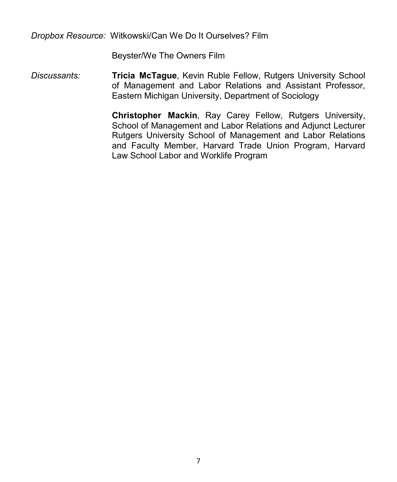*Dropbox Resource:* Witkowski/Can We Do It Ourselves? Film

Beyster/We The Owners Film

*Discussants:* **Tricia McTague**, Kevin Ruble Fellow, Rutgers University School of Management and Labor Relations and Assistant Professor, Eastern Michigan University, Department of Sociology

> **Christopher Mackin**, Ray Carey Fellow, Rutgers University, School of Management and Labor Relations and Adjunct Lecturer Rutgers University School of Management and Labor Relations and Faculty Member, Harvard Trade Union Program, Harvard Law School Labor and Worklife Program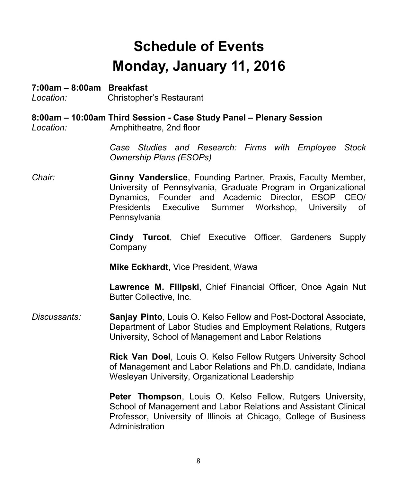### **Schedule of Events Monday, January 11, 2016**

### **7:00am – 8:00am Breakfast**

*Location:* Christopher's Restaurant

**8:00am – 10:00am Third Session - Case Study Panel – Plenary Session** *Location:* Amphitheatre, 2nd floor

> *Case Studies and Research: Firms with Employee Stock Ownership Plans (ESOPs)*

*Chair:* **Ginny Vanderslice**, Founding Partner, Praxis, Faculty Member, University of Pennsylvania, Graduate Program in Organizational Dynamics, Founder and Academic Director, ESOP CEO/ Presidents Executive Summer Workshop, University of **Pennsylvania** 

> **Cindy Turcot**, Chief Executive Officer, Gardeners Supply Company

**Mike Eckhardt**, Vice President, Wawa

**Lawrence M. Filipski**, Chief Financial Officer, Once Again Nut Butter Collective, Inc.

*Discussants:* **Sanjay Pinto**, Louis O. Kelso Fellow and Post-Doctoral Associate, Department of Labor Studies and Employment Relations, Rutgers University, School of Management and Labor Relations

> **Rick Van Doel**, Louis O. Kelso Fellow Rutgers University School of Management and Labor Relations and Ph.D. candidate, Indiana Wesleyan University, Organizational Leadership

> **Peter Thompson**, Louis O. Kelso Fellow, Rutgers University, School of Management and Labor Relations and Assistant Clinical Professor, University of Illinois at Chicago, College of Business Administration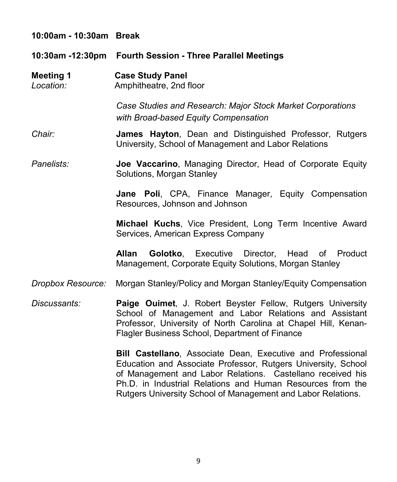| 10:00am - 10:30am Break       |                                                                                                                                                                                                                                                          |
|-------------------------------|----------------------------------------------------------------------------------------------------------------------------------------------------------------------------------------------------------------------------------------------------------|
|                               | 10:30am -12:30pm Fourth Session - Three Parallel Meetings                                                                                                                                                                                                |
| <b>Meeting 1</b><br>Location: | <b>Case Study Panel</b><br>Amphitheatre, 2nd floor                                                                                                                                                                                                       |
|                               | Case Studies and Research: Major Stock Market Corporations<br>with Broad-based Equity Compensation                                                                                                                                                       |
| Chair:                        | James Hayton, Dean and Distinguished Professor, Rutgers<br>University, School of Management and Labor Relations                                                                                                                                          |
| Panelists:                    | Joe Vaccarino, Managing Director, Head of Corporate Equity<br>Solutions, Morgan Stanley                                                                                                                                                                  |
|                               | Jane Poli, CPA, Finance Manager, Equity Compensation<br>Resources, Johnson and Johnson                                                                                                                                                                   |
|                               | Michael Kuchs, Vice President, Long Term Incentive Award<br>Services, American Express Company                                                                                                                                                           |
|                               | Allan<br><b>Golotko</b> , Executive Director, Head of Product<br>Management, Corporate Equity Solutions, Morgan Stanley                                                                                                                                  |
| Dropbox Resource:             | Morgan Stanley/Policy and Morgan Stanley/Equity Compensation                                                                                                                                                                                             |
| Discussants:                  | Paige Ouimet, J. Robert Beyster Fellow, Rutgers University<br>School of Management and Labor Relations and Assistant<br>Professor, University of North Carolina at Chapel Hill, Kenan-<br>Flagler Business School, Department of Finance                 |
|                               | Bill Castellano, Associate Dean, Executive and Professional<br>Education and Associate Professor, Rutgers University, School<br>of Management and Labor Relations. Castellano received his<br>Ph.D. in Industrial Relations and Human Resources from the |

Rutgers University School of Management and Labor Relations.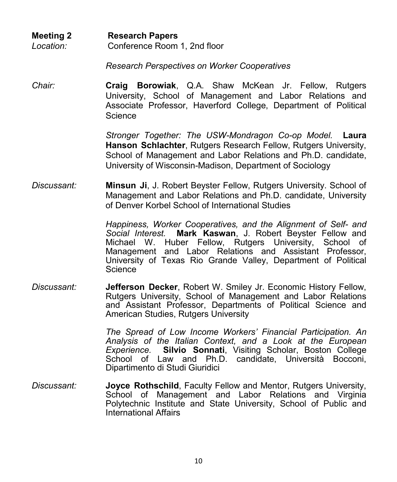**Meeting 2 Research Papers** *Location:* Conference Room 1, 2nd floor

*Research Perspectives on Worker Cooperatives* 

*Chair:* **Craig Borowiak**, Q.A. Shaw McKean Jr. Fellow, Rutgers University, School of Management and Labor Relations and Associate Professor, Haverford College, Department of Political Science

> *Stronger Together: The USW-Mondragon Co-op Model.* **Laura Hanson Schlachter**, Rutgers Research Fellow, Rutgers University, School of Management and Labor Relations and Ph.D. candidate, University of Wisconsin-Madison, Department of Sociology

*Discussant:* **Minsun Ji**, J. Robert Beyster Fellow, Rutgers University. School of Management and Labor Relations and Ph.D. candidate, University of Denver Korbel School of International Studies

> *Happiness, Worker Cooperatives, and the Alignment of Self- and Social Interest.* **Mark Kaswan**, J. Robert Beyster Fellow and Michael W. Huber Fellow, Rutgers University, School of Management and Labor Relations and Assistant Professor, University of Texas Rio Grande Valley, Department of Political **Science**

*Discussant:* **Jefferson Decker**, Robert W. Smiley Jr. Economic History Fellow, Rutgers University, School of Management and Labor Relations and Assistant Professor, Departments of Political Science and American Studies, Rutgers University

> *The Spread of Low Income Workers' Financial Participation. An Analysis of the Italian Context, and a Look at the European Experience.* **Silvio Sonnati**, Visiting Scholar, Boston College School of Law and Ph.D. candidate, Università Bocconi, Dipartimento di Studi Giuridici

*Discussant:* **Joyce Rothschild**, Faculty Fellow and Mentor, Rutgers University, School of Management and Labor Relations and Virginia Polytechnic Institute and State University, School of Public and International Affairs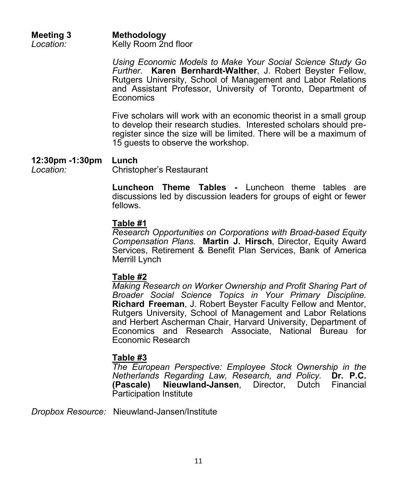| <b>Meeting 3</b> | Methodology          |
|------------------|----------------------|
| Location:        | Kelly Room 2nd floor |

*Using Economic Models to Make Your Social Science Study Go Further.* **Karen Bernhardt-Walther**, J. Robert Beyster Fellow, Rutgers University, School of Management and Labor Relations and Assistant Professor, University of Toronto, Department of **Economics** 

Five scholars will work with an economic theorist in a small group to develop their research studies. Interested scholars should preregister since the size will be limited. There will be a maximum of 15 guests to observe the workshop.

### **12:30pm -1:30pm Lunch**

*Location:* Christopher's Restaurant

**Luncheon Theme Tables -** Luncheon theme tables are discussions led by discussion leaders for groups of eight or fewer fellows.

### **Table #1**

*Research Opportunities on Corporations with Broad-based Equity Compensation Plans.* **Martin J. Hirsch**, Director, Equity Award Services, Retirement & Benefit Plan Services, Bank of America Merrill Lynch

### **Table #2**

*Making Research on Worker Ownership and Profit Sharing Part of Broader Social Science Topics in Your Primary Discipline.* **Richard Freeman**, J. Robert Beyster Faculty Fellow and Mentor, Rutgers University, School of Management and Labor Relations and Herbert Ascherman Chair, Harvard University, Department of Economics and Research Associate, National Bureau for Economic Research

### **Table #3**

*The European Perspective: Employee Stock Ownership in the Netherlands Regarding Law, Research, and Policy.* **Dr. P.C. (Pascale) Nieuwland-Jansen**, Director, Dutch Financial Participation Institute

*Dropbox Resource:* Nieuwland-Jansen/Institute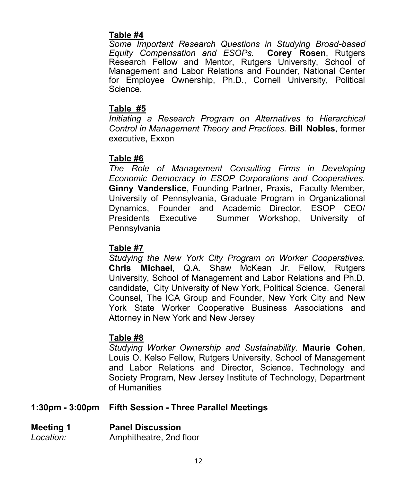### **Table #4**

*Some Important Research Questions in Studying Broad-based Equity Compensation and ESOPs.* **Corey Rosen**, Rutgers Research Fellow and Mentor, Rutgers University, School of Management and Labor Relations and Founder, National Center for Employee Ownership, Ph.D., Cornell University, Political Science.

### **Table #5**

*Initiating a Research Program on Alternatives to Hierarchical Control in Management Theory and Practices.* **Bill Nobles**, former executive, Exxon

### **Table #6**

*The Role of Management Consulting Firms in Developing Economic Democracy in ESOP Corporations and Cooperatives.* **Ginny Vanderslice**, Founding Partner, Praxis, Faculty Member, University of Pennsylvania, Graduate Program in Organizational Dynamics, Founder and Academic Director, ESOP CEO/ Presidents Executive Summer Workshop, University of Pennsylvania

### **Table #7**

*Studying the New York City Program on Worker Cooperatives.* **Chris Michael**, Q.A. Shaw McKean Jr. Fellow, Rutgers University, School of Management and Labor Relations and Ph.D. candidate, City University of New York, Political Science. General Counsel, The ICA Group and Founder, New York City and New York State Worker Cooperative Business Associations and Attorney in New York and New Jersey

### **Table #8**

*Studying Worker Ownership and Sustainability.* **Maurie Cohen**, Louis O. Kelso Fellow, Rutgers University, School of Management and Labor Relations and Director, Science, Technology and Society Program, New Jersey Institute of Technology, Department of Humanities

### **1:30pm - 3:00pm Fifth Session - Three Parallel Meetings**

### **Meeting 1 Panel Discussion**

*Location:* Amphitheatre, 2nd floor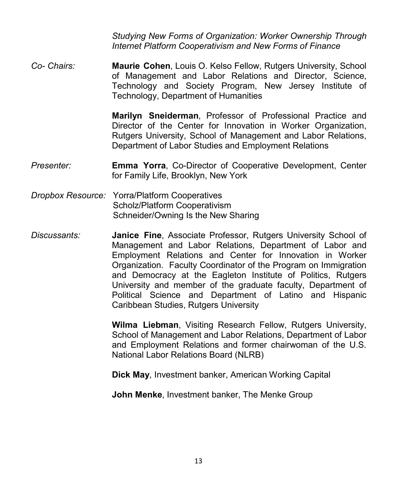*Studying New Forms of Organization: Worker Ownership Through Internet Platform Cooperativism and New Forms of Finance* 

*Co- Chairs:* **Maurie Cohen**, Louis O. Kelso Fellow, Rutgers University, School of Management and Labor Relations and Director, Science, Technology and Society Program, New Jersey Institute of Technology, Department of Humanities

> **Marilyn Sneiderman**, Professor of Professional Practice and Director of the Center for Innovation in Worker Organization, Rutgers University, School of Management and Labor Relations, Department of Labor Studies and Employment Relations

- *Presenter:* **Emma Yorra**, Co-Director of Cooperative Development, Center for Family Life, Brooklyn, New York
- *Dropbox Resource:* Yorra/Platform Cooperatives Scholz/Platform Cooperativism Schneider/Owning Is the New Sharing
- *Discussants:* **Janice Fine**, Associate Professor, Rutgers University School of Management and Labor Relations, Department of Labor and Employment Relations and Center for Innovation in Worker Organization. Faculty Coordinator of the Program on Immigration and Democracy at the Eagleton Institute of Politics, Rutgers University and member of the graduate faculty, Department of Political Science and Department of Latino and Hispanic Caribbean Studies, Rutgers University

**Wilma Liebman**, Visiting Research Fellow, Rutgers University, School of Management and Labor Relations, Department of Labor and Employment Relations and former chairwoman of the U.S. National Labor Relations Board (NLRB)

**Dick May**, Investment banker, American Working Capital

**John Menke**, Investment banker, The Menke Group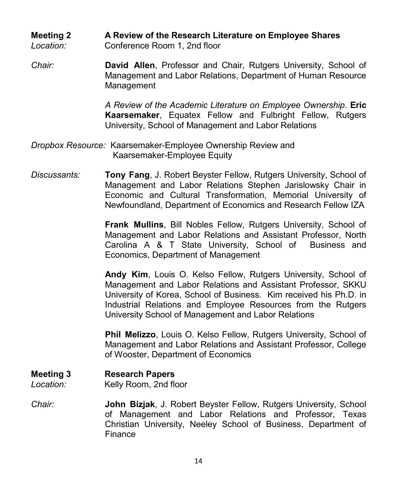### **Meeting 2 A Review of the Research Literature on Employee Shares**

*Location:* Conference Room 1, 2nd floor

*Chair:* **David Allen**, Professor and Chair, Rutgers University, School of Management and Labor Relations, Department of Human Resource Management

> *A Review of the Academic Literature on Employee Ownership.* **Eric Kaarsemaker**, Equatex Fellow and Fulbright Fellow, Rutgers University, School of Management and Labor Relations

- *Dropbox Resource:* Kaarsemaker-Employee Ownership Review and Kaarsemaker-Employee Equity
- *Discussants:* **Tony Fang**, J. Robert Beyster Fellow, Rutgers University, School of Management and Labor Relations Stephen Jarislowsky Chair in Economic and Cultural Transformation, Memorial University of Newfoundland, Department of Economics and Research Fellow IZA

**Frank Mullins**, Bill Nobles Fellow, Rutgers University, School of Management and Labor Relations and Assistant Professor, North Carolina A & T State University, School of Business and Economics, Department of Management

**Andy Kim**, Louis O. Kelso Fellow, Rutgers University, School of Management and Labor Relations and Assistant Professor, SKKU University of Korea, School of Business. Kim received his Ph.D. in Industrial Relations and Employee Resources from the Rutgers University School of Management and Labor Relations

**Phil Melizzo**, Louis O. Kelso Fellow, Rutgers University, School of Management and Labor Relations and Assistant Professor, College of Wooster, Department of Economics

### **Meeting 3 Research Papers**

*Location:* Kelly Room, 2nd floor

*Chair:* **John Bizjak**, J. Robert Beyster Fellow, Rutgers University, School of Management and Labor Relations and Professor, Texas Christian University, Neeley School of Business, Department of Finance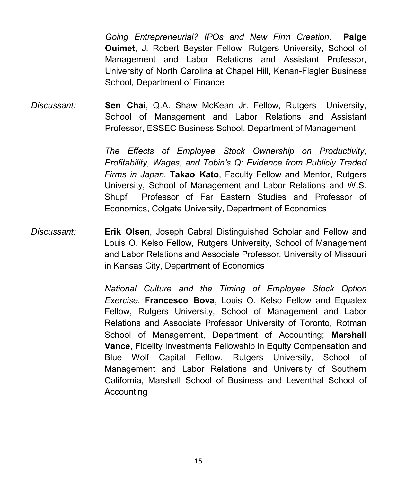*Going Entrepreneurial? IPOs and New Firm Creation.* **Paige Ouimet**, J. Robert Beyster Fellow, Rutgers University, School of Management and Labor Relations and Assistant Professor, University of North Carolina at Chapel Hill, Kenan-Flagler Business School, Department of Finance

*Discussant:* **Sen Chai**, Q.A. Shaw McKean Jr. Fellow, Rutgers University, School of Management and Labor Relations and Assistant Professor, ESSEC Business School, Department of Management

> *The Effects of Employee Stock Ownership on Productivity, Profitability, Wages, and Tobin's Q: Evidence from Publicly Traded Firms in Japan.* **Takao Kato**, Faculty Fellow and Mentor, Rutgers University, School of Management and Labor Relations and W.S. Shupf Professor of Far Eastern Studies and Professor of Economics, Colgate University, Department of Economics

*Discussant:* **Erik Olsen**, Joseph Cabral Distinguished Scholar and Fellow and Louis O. Kelso Fellow, Rutgers University, School of Management and Labor Relations and Associate Professor, University of Missouri in Kansas City, Department of Economics

> *National Culture and the Timing of Employee Stock Option Exercise.* **Francesco Bova**, Louis O. Kelso Fellow and Equatex Fellow, Rutgers University, School of Management and Labor Relations and Associate Professor University of Toronto, Rotman School of Management, Department of Accounting; **Marshall Vance**, Fidelity Investments Fellowship in Equity Compensation and Blue Wolf Capital Fellow, Rutgers University, School of Management and Labor Relations and University of Southern California, Marshall School of Business and Leventhal School of Accounting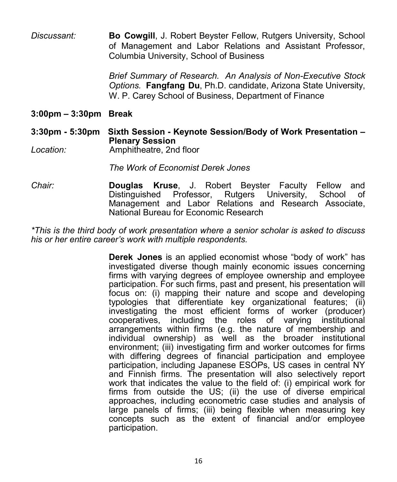*Discussant:* **Bo Cowgill**, J. Robert Beyster Fellow, Rutgers University, School of Management and Labor Relations and Assistant Professor, Columbia University, School of Business

> *Brief Summary of Research. An Analysis of Non-Executive Stock Options.* **Fangfang Du**, Ph.D. candidate, Arizona State University, W. P. Carey School of Business, Department of Finance

### **3:00pm – 3:30pm Break**

### **3:30pm - 5:30pm Sixth Session - Keynote Session/Body of Work Presentation – Plenary Session**

*Location:* Amphitheatre, 2nd floor

*The Work of Economist Derek Jones*

*Chair:* **Douglas Kruse**, J. Robert Beyster Faculty Fellow and Distinguished Professor, Rutgers University, School of Management and Labor Relations and Research Associate, National Bureau for Economic Research

*\*This is the third body of work presentation where a senior scholar is asked to discuss his or her entire career's work with multiple respondents.* 

> **Derek Jones** is an applied economist whose "body of work" has investigated diverse though mainly economic issues concerning firms with varying degrees of employee ownership and employee participation. For such firms, past and present, his presentation will focus on: (i) mapping their nature and scope and developing typologies that differentiate key organizational features; (ii) investigating the most efficient forms of worker (producer) cooperatives, including the roles of varying institutional arrangements within firms (e.g. the nature of membership and individual ownership) as well as the broader institutional environment; (iii) investigating firm and worker outcomes for firms with differing degrees of financial participation and employee participation, including Japanese ESOPs, US cases in central NY and Finnish firms. The presentation will also selectively report work that indicates the value to the field of: (i) empirical work for firms from outside the US; (ii) the use of diverse empirical approaches, including econometric case studies and analysis of large panels of firms; (iii) being flexible when measuring key concepts such as the extent of financial and/or employee participation.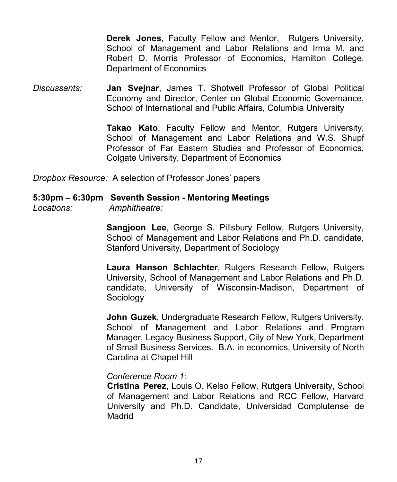**Derek Jones**, Faculty Fellow and Mentor, Rutgers University, School of Management and Labor Relations and Irma M. and Robert D. Morris Professor of Economics, Hamilton College, Department of Economics

*Discussants:* **Jan Svejnar**, James T. Shotwell Professor of Global Political Economy and Director, Center on Global Economic Governance, School of International and Public Affairs, Columbia University

> **Takao Kato**, Faculty Fellow and Mentor, Rutgers University, School of Management and Labor Relations and W.S. Shupf Professor of Far Eastern Studies and Professor of Economics, Colgate University, Department of Economics

*Dropbox Resource:* A selection of Professor Jones' papers

### **5:30pm – 6:30pm Seventh Session - Mentoring Meetings**

*Locations: Amphitheatre:* 

**Sangjoon Lee**, George S. Pillsbury Fellow, Rutgers University, School of Management and Labor Relations and Ph.D. candidate, Stanford University, Department of Sociology

**Laura Hanson Schlachter**, Rutgers Research Fellow, Rutgers University, School of Management and Labor Relations and Ph.D. candidate, University of Wisconsin-Madison, Department of Sociology

**John Guzek**, Undergraduate Research Fellow, Rutgers University, School of Management and Labor Relations and Program Manager, Legacy Business Support, City of New York, Department of Small Business Services. B.A. in economics, University of North Carolina at Chapel Hill

### *Conference Room 1:*

**Cristina Perez**, Louis O. Kelso Fellow, Rutgers University, School of Management and Labor Relations and RCC Fellow, Harvard University and Ph.D. Candidate, Universidad Complutense de Madrid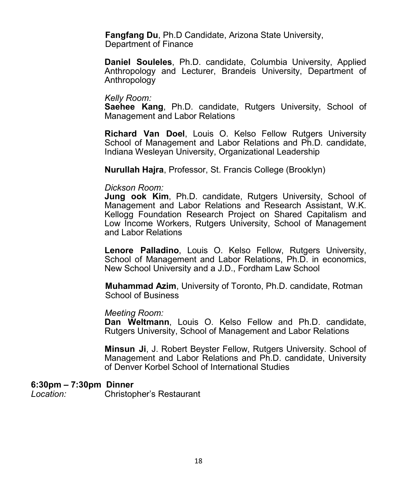**Fangfang Du**, Ph.D Candidate, Arizona State University, Department of Finance

**Daniel Souleles**, Ph.D. candidate, Columbia University, Applied Anthropology and Lecturer, Brandeis University, Department of Anthropology

#### *Kelly Room:*

**Saehee Kang**, Ph.D. candidate, Rutgers University, School of Management and Labor Relations

**Richard Van Doel**, Louis O. Kelso Fellow Rutgers University School of Management and Labor Relations and Ph.D. candidate, Indiana Wesleyan University, Organizational Leadership

**Nurullah Hajra**, Professor, St. Francis College (Brooklyn)

#### *Dickson Room:*

**Jung ook Kim**, Ph.D. candidate, Rutgers University, School of Management and Labor Relations and Research Assistant, W.K. Kellogg Foundation Research Project on Shared Capitalism and Low Income Workers, Rutgers University, School of Management and Labor Relations

**Lenore Palladino**, Louis O. Kelso Fellow, Rutgers University, School of Management and Labor Relations, Ph.D. in economics, New School University and a J.D., Fordham Law School

**Muhammad Azim**, University of Toronto, Ph.D. candidate, Rotman School of Business

#### *Meeting Room:*

**Dan Weltmann**, Louis O. Kelso Fellow and Ph.D. candidate, Rutgers University, School of Management and Labor Relations

**Minsun Ji**, J. Robert Beyster Fellow, Rutgers University. School of Management and Labor Relations and Ph.D. candidate, University of Denver Korbel School of International Studies

#### **6:30pm – 7:30pm Dinner**

*Location:* Christopher's Restaurant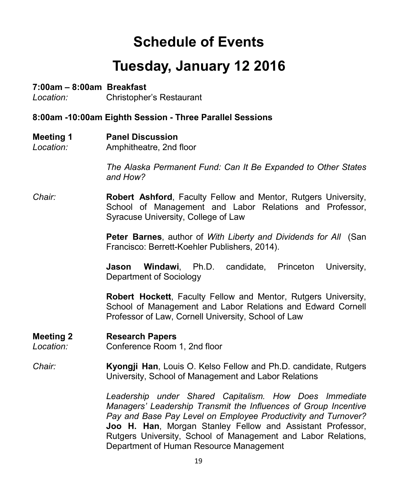### **Schedule of Events**

### **Tuesday, January 12 2016**

### **7:00am – 8:00am Breakfast**

*Location:* Christopher's Restaurant

### **8:00am -10:00am Eighth Session - Three Parallel Sessions**

- **Meeting 1 Panel Discussion**
- *Location:* Amphitheatre, 2nd floor

*The Alaska Permanent Fund: Can It Be Expanded to Other States and How?*

*Chair:* **Robert Ashford**, Faculty Fellow and Mentor, Rutgers University, School of Management and Labor Relations and Professor, Syracuse University, College of Law

> **Peter Barnes**, author of *With Liberty and Dividends for All* (San Francisco: Berrett-Koehler Publishers, 2014).

> **Jason Windawi**, Ph.D. candidate, Princeton University, Department of Sociology

> **Robert Hockett**, Faculty Fellow and Mentor, Rutgers University, School of Management and Labor Relations and Edward Cornell Professor of Law, Cornell University, School of Law

### **Meeting 2 Research Papers**

*Location:* Conference Room 1, 2nd floor

### *Chair:* **Kyongji Han**, Louis O. Kelso Fellow and Ph.D. candidate, Rutgers University, School of Management and Labor Relations

*Leadership under Shared Capitalism. How Does Immediate Managers' Leadership Transmit the Influences of Group Incentive Pay and Base Pay Level on Employee Productivity and Turnover?*  **Joo H. Han**, Morgan Stanley Fellow and Assistant Professor, Rutgers University, School of Management and Labor Relations, Department of Human Resource Management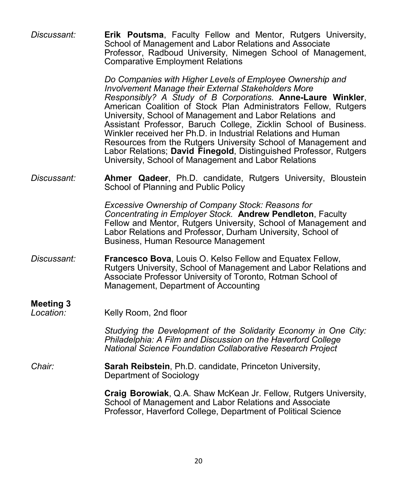| Discussant:                   | Erik Poutsma, Faculty Fellow and Mentor, Rutgers University,<br>School of Management and Labor Relations and Associate<br>Professor, Radboud University, Nimegen School of Management,<br><b>Comparative Employment Relations</b>                                                                                                                                                                                                                                                                                                                                                                                                                 |
|-------------------------------|---------------------------------------------------------------------------------------------------------------------------------------------------------------------------------------------------------------------------------------------------------------------------------------------------------------------------------------------------------------------------------------------------------------------------------------------------------------------------------------------------------------------------------------------------------------------------------------------------------------------------------------------------|
|                               | Do Companies with Higher Levels of Employee Ownership and<br>Involvement Manage their External Stakeholders More<br>Responsibly? A Study of B Corporations. Anne-Laure Winkler,<br>American Coalition of Stock Plan Administrators Fellow, Rutgers<br>University, School of Management and Labor Relations and<br>Assistant Professor, Baruch College, Zicklin School of Business.<br>Winkler received her Ph.D. in Industrial Relations and Human<br>Resources from the Rutgers University School of Management and<br>Labor Relations; David Finegold, Distinguished Professor, Rutgers<br>University, School of Management and Labor Relations |
| Discussant:                   | Ahmer Qadeer, Ph.D. candidate, Rutgers University, Bloustein<br>School of Planning and Public Policy                                                                                                                                                                                                                                                                                                                                                                                                                                                                                                                                              |
|                               | <b>Excessive Ownership of Company Stock: Reasons for</b><br>Concentrating in Employer Stock. Andrew Pendleton, Faculty<br>Fellow and Mentor, Rutgers University, School of Management and<br>Labor Relations and Professor, Durham University, School of<br>Business, Human Resource Management                                                                                                                                                                                                                                                                                                                                                   |
| Discussant:                   | Francesco Bova, Louis O. Kelso Fellow and Equatex Fellow,<br>Rutgers University, School of Management and Labor Relations and<br>Associate Professor University of Toronto, Rotman School of<br>Management, Department of Accounting                                                                                                                                                                                                                                                                                                                                                                                                              |
| <b>Meeting 3</b><br>Location: | Kelly Room, 2nd floor                                                                                                                                                                                                                                                                                                                                                                                                                                                                                                                                                                                                                             |
|                               | Studying the Development of the Solidarity Economy in One City:<br>Philadelphia: A Film and Discussion on the Haverford College<br><b>National Science Foundation Collaborative Research Project</b>                                                                                                                                                                                                                                                                                                                                                                                                                                              |
| Chair:                        | Sarah Reibstein, Ph.D. candidate, Princeton University,<br>Department of Sociology                                                                                                                                                                                                                                                                                                                                                                                                                                                                                                                                                                |
|                               | Craig Borowiak, Q.A. Shaw McKean Jr. Fellow, Rutgers University,<br>School of Management and Labor Relations and Associate<br>Professor, Haverford College, Department of Political Science                                                                                                                                                                                                                                                                                                                                                                                                                                                       |
|                               |                                                                                                                                                                                                                                                                                                                                                                                                                                                                                                                                                                                                                                                   |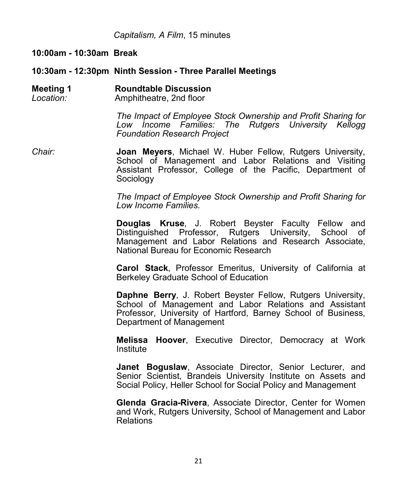*Capitalism, A Film*, 15 minutes

**10:00am - 10:30am Break**

**10:30am - 12:30pm Ninth Session - Three Parallel Meetings**

**Meeting 1 Roundtable Discussion** *Location:* Amphitheatre, 2nd floor

> *The Impact of Employee Stock Ownership and Profit Sharing for Low Income Families: The Rutgers University Kellogg Foundation Research Project*

*Chair:* **Joan Meyers**, Michael W. Huber Fellow, Rutgers University, School of Management and Labor Relations and Visiting Assistant Professor, College of the Pacific, Department of Sociology

> *The Impact of Employee Stock Ownership and Profit Sharing for Low Income Families.*

> **Douglas Kruse**, J. Robert Beyster Faculty Fellow and Distinguished Professor, Rutgers University, School of Management and Labor Relations and Research Associate, National Bureau for Economic Research

> **Carol Stack**, Professor Emeritus, University of California at Berkeley Graduate School of Education

> **Daphne Berry**, J. Robert Beyster Fellow, Rutgers University, School of Management and Labor Relations and Assistant Professor, University of Hartford, Barney School of Business, Department of Management

> **Melissa Hoover**, Executive Director, Democracy at Work Institute

> **Janet Boguslaw**, Associate Director, Senior Lecturer, and Senior Scientist, Brandeis University Institute on Assets and Social Policy, Heller School for Social Policy and Management

> **Glenda Gracia-Rivera**, Associate Director, Center for Women and Work, Rutgers University, School of Management and Labor Relations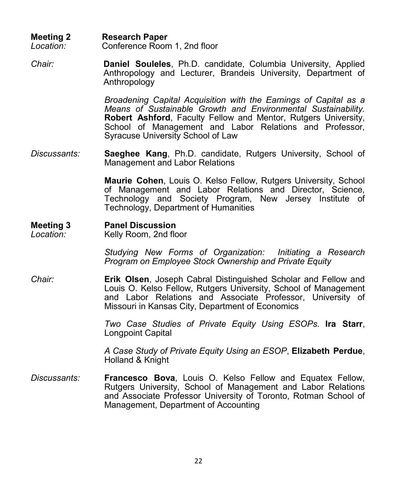**Meeting 2 Research Paper** *Location:* Conference Room 1, 2nd floor

*Chair:* **Daniel Souleles**, Ph.D. candidate, Columbia University, Applied Anthropology and Lecturer, Brandeis University, Department of Anthropology

> *Broadening Capital Acquisition with the Earnings of Capital as a Means of Sustainable Growth and Environmental Sustainability.* **Robert Ashford**, Faculty Fellow and Mentor, Rutgers University, School of Management and Labor Relations and Professor, Syracuse University School of Law

*Discussants:* **Saeghee Kang**, Ph.D. candidate, Rutgers University, School of Management and Labor Relations

> **Maurie Cohen**, Louis O. Kelso Fellow, Rutgers University, School of Management and Labor Relations and Director, Science, Technology and Society Program, New Jersey Institute of Technology, Department of Humanities

### **Meeting 3 Panel Discussion**

*Location:* Kelly Room, 2nd floor

*Studying New Forms of Organization: Initiating a Research Program on Employee Stock Ownership and Private Equity*

*Chair:* **Erik Olsen**, Joseph Cabral Distinguished Scholar and Fellow and Louis O. Kelso Fellow, Rutgers University, School of Management and Labor Relations and Associate Professor, University of Missouri in Kansas City, Department of Economics

> *Two Case Studies of Private Equity Using ESOPs.* **Ira Starr**, Longpoint Capital

> *A Case Study of Private Equity Using an ESOP*, **Elizabeth Perdue**, Holland & Knight

*Discussants:* **Francesco Bova**, Louis O. Kelso Fellow and Equatex Fellow, Rutgers University, School of Management and Labor Relations and Associate Professor University of Toronto, Rotman School of Management, Department of Accounting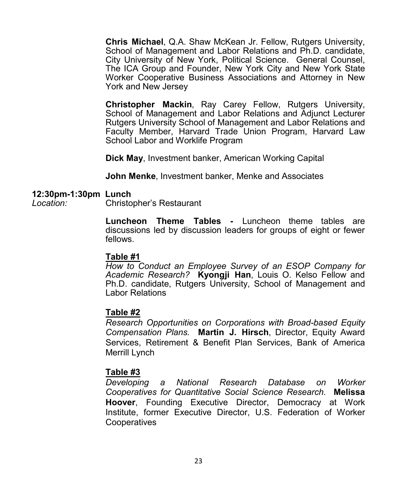**Chris Michael**, Q.A. Shaw McKean Jr. Fellow, Rutgers University, School of Management and Labor Relations and Ph.D. candidate, City University of New York, Political Science. General Counsel, The ICA Group and Founder, New York City and New York State Worker Cooperative Business Associations and Attorney in New York and New Jersey

**Christopher Mackin**, Ray Carey Fellow, Rutgers University, School of Management and Labor Relations and Adjunct Lecturer Rutgers University School of Management and Labor Relations and Faculty Member, Harvard Trade Union Program, Harvard Law School Labor and Worklife Program

**Dick May**, Investment banker, American Working Capital

**John Menke**, Investment banker, Menke and Associates

#### **12:30pm-1:30pm Lunch**

*Location:* Christopher's Restaurant

**Luncheon Theme Tables -** Luncheon theme tables are discussions led by discussion leaders for groups of eight or fewer fellows.

### **Table #1**

*How to Conduct an Employee Survey of an ESOP Company for Academic Research?* **Kyongji Han**, Louis O. Kelso Fellow and Ph.D. candidate, Rutgers University, School of Management and Labor Relations

### **Table #2**

*Research Opportunities on Corporations with Broad-based Equity Compensation Plans.* **Martin J. Hirsch**, Director, Equity Award Services, Retirement & Benefit Plan Services, Bank of America Merrill Lynch

### **Table #3**

*Developing a National Research Database on Worker Cooperatives for Quantitative Social Science Research.* **Melissa Hoover**, Founding Executive Director, Democracy at Work Institute, former Executive Director, U.S. Federation of Worker **Cooperatives**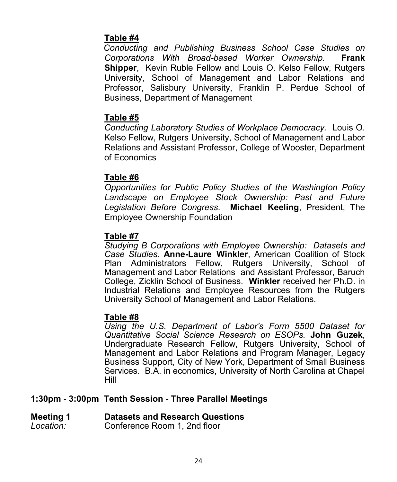### **Table #4**

*Conducting and Publishing Business School Case Studies on Corporations With Broad-based Worker Ownership.* **Frank Shipper**, Kevin Ruble Fellow and Louis O. Kelso Fellow, Rutgers University, School of Management and Labor Relations and Professor, Salisbury University, Franklin P. Perdue School of Business, Department of Management

### **Table #5**

*Conducting Laboratory Studies of Workplace Democracy.* Louis O. Kelso Fellow, Rutgers University, School of Management and Labor Relations and Assistant Professor, College of Wooster, Department of Economics

### **Table #6**

*Opportunities for Public Policy Studies of the Washington Policy Landscape on Employee Stock Ownership: Past and Future Legislation Before Congress.* **Michael Keeling**, President, The Employee Ownership Foundation

### **Table #7**

*Studying B Corporations with Employee Ownership: Datasets and Case Studies.* **Anne-Laure Winkler**, American Coalition of Stock Plan Administrators Fellow, Rutgers University, School of Management and Labor Relations and Assistant Professor, Baruch College, Zicklin School of Business. **Winkler** received her Ph.D. in Industrial Relations and Employee Resources from the Rutgers University School of Management and Labor Relations.

### **Table #8**

*Using the U.S. Department of Labor's Form 5500 Dataset for Quantitative Social Science Research on ESOPs.* **John Guzek**, Undergraduate Research Fellow, Rutgers University, School of Management and Labor Relations and Program Manager, Legacy Business Support, City of New York, Department of Small Business Services. B.A. in economics, University of North Carolina at Chapel Hill

### **1:30pm - 3:00pm Tenth Session - Three Parallel Meetings**

### **Meeting 1 Datasets and Research Questions**

*Location:* Conference Room 1, 2nd floor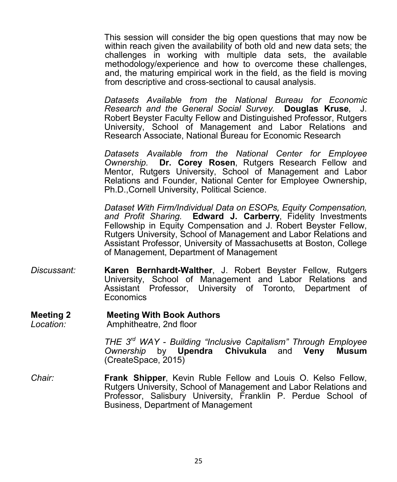This session will consider the big open questions that may now be within reach given the availability of both old and new data sets; the challenges in working with multiple data sets, the available methodology/experience and how to overcome these challenges, and, the maturing empirical work in the field, as the field is moving from descriptive and cross-sectional to causal analysis.

*Datasets Available from the National Bureau for Economic Research and the General Social Survey.* **Douglas Kruse**, J. Robert Beyster Faculty Fellow and Distinguished Professor, Rutgers University, School of Management and Labor Relations and Research Associate, National Bureau for Economic Research

*Datasets Available from the National Center for Employee Ownership.* **Dr. Corey Rosen**, Rutgers Research Fellow and Mentor, Rutgers University, School of Management and Labor Relations and Founder, National Center for Employee Ownership, Ph.D.,Cornell University, Political Science.

*Dataset With Firm/Individual Data on ESOPs, Equity Compensation, and Profit Sharing.* **Edward J. Carberry**, Fidelity Investments Fellowship in Equity Compensation and J. Robert Beyster Fellow, Rutgers University, School of Management and Labor Relations and Assistant Professor, University of Massachusetts at Boston, College of Management, Department of Management

*Discussant:* **Karen Bernhardt-Walther**, J. Robert Beyster Fellow, Rutgers University, School of Management and Labor Relations and Assistant Professor, University of Toronto, Department of Economics

### **Meeting 2 Meeting With Book Authors**<br> *Location:* Amphitheatre. 2nd floor

*Location:* Amphitheatre, 2nd floor

*THE 3rd WAY - Building "Inclusive Capitalism" Through Employee Ownership* by **Upendra Chivukula** and **Veny Musum**  (CreateSpace, 2015)

*Chair:* **Frank Shipper**, Kevin Ruble Fellow and Louis O. Kelso Fellow, Rutgers University, School of Management and Labor Relations and Professor, Salisbury University, Franklin P. Perdue School of Business, Department of Management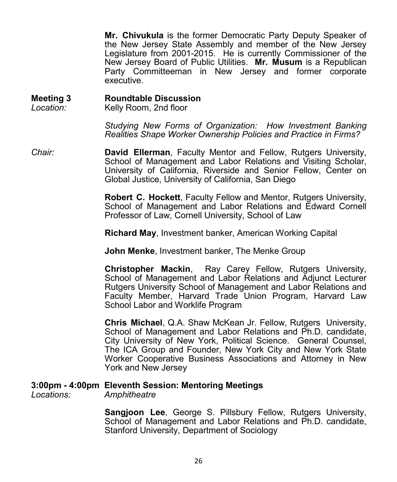**Mr. Chivukula** is the former Democratic Party Deputy Speaker of the New Jersey State Assembly and member of the New Jersey Legislature from 2001-2015. He is currently Commissioner of the New Jersey Board of Public Utilities. **Mr. Musum** is a Republican Party Committeeman in New Jersey and former corporate executive.

**Meeting 3 Roundtable Discussion**  *Location:* Kelly Room, 2nd floor

> *Studying New Forms of Organization: How Investment Banking Realities Shape Worker Ownership Policies and Practice in Firms?*

*Chair:* **David Ellerman**, Faculty Mentor and Fellow, Rutgers University, School of Management and Labor Relations and Visiting Scholar, University of California, Riverside and Senior Fellow, Center on Global Justice, University of California, San Diego

> **Robert C. Hockett**, Faculty Fellow and Mentor, Rutgers University, School of Management and Labor Relations and Edward Cornell Professor of Law, Cornell University, School of Law

**Richard May**, Investment banker, American Working Capital

**John Menke**, Investment banker, The Menke Group

**Christopher Mackin**, Ray Carey Fellow, Rutgers University, School of Management and Labor Relations and Adjunct Lecturer Rutgers University School of Management and Labor Relations and Faculty Member, Harvard Trade Union Program, Harvard Law School Labor and Worklife Program

**Chris Michael**, Q.A. Shaw McKean Jr. Fellow, Rutgers University, School of Management and Labor Relations and Ph.D. candidate, City University of New York, Political Science. General Counsel, The ICA Group and Founder, New York City and New York State Worker Cooperative Business Associations and Attorney in New York and New Jersey

### **3:00pm - 4:00pm Eleventh Session: Mentoring Meetings**

*Locations: Amphitheatre* 

**Sangjoon Lee**, George S. Pillsbury Fellow, Rutgers University, School of Management and Labor Relations and Ph.D. candidate, Stanford University, Department of Sociology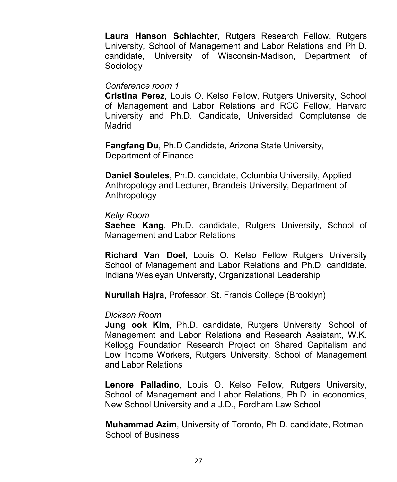**Laura Hanson Schlachter**, Rutgers Research Fellow, Rutgers University, School of Management and Labor Relations and Ph.D. candidate, University of Wisconsin-Madison, Department of Sociology

#### *Conference room 1*

**Cristina Perez**, Louis O. Kelso Fellow, Rutgers University, School of Management and Labor Relations and RCC Fellow, Harvard University and Ph.D. Candidate, Universidad Complutense de Madrid

**Fangfang Du**, Ph.D Candidate, Arizona State University, Department of Finance

**Daniel Souleles**, Ph.D. candidate, Columbia University, Applied Anthropology and Lecturer, Brandeis University, Department of Anthropology

#### *Kelly Room*

**Saehee Kang**, Ph.D. candidate, Rutgers University, School of Management and Labor Relations

**Richard Van Doel**, Louis O. Kelso Fellow Rutgers University School of Management and Labor Relations and Ph.D. candidate, Indiana Wesleyan University, Organizational Leadership

**Nurullah Hajra**, Professor, St. Francis College (Brooklyn)

#### *Dickson Room*

**Jung ook Kim**, Ph.D. candidate, Rutgers University, School of Management and Labor Relations and Research Assistant, W.K. Kellogg Foundation Research Project on Shared Capitalism and Low Income Workers, Rutgers University, School of Management and Labor Relations

**Lenore Palladino**, Louis O. Kelso Fellow, Rutgers University, School of Management and Labor Relations, Ph.D. in economics, New School University and a J.D., Fordham Law School

**Muhammad Azim**, University of Toronto, Ph.D. candidate, Rotman School of Business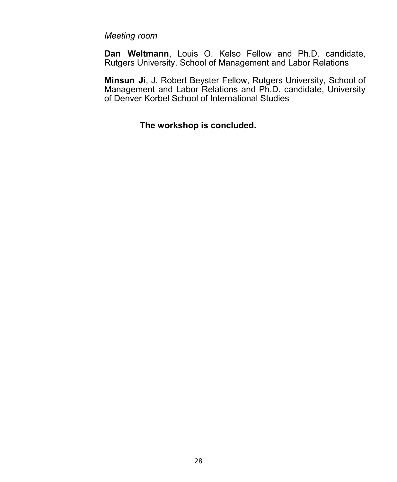### *Meeting room*

**Dan Weltmann**, Louis O. Kelso Fellow and Ph.D. candidate, Rutgers University, School of Management and Labor Relations

**Minsun Ji**, J. Robert Beyster Fellow, Rutgers University, School of Management and Labor Relations and Ph.D. candidate, University of Denver Korbel School of International Studies

### **The workshop is concluded.**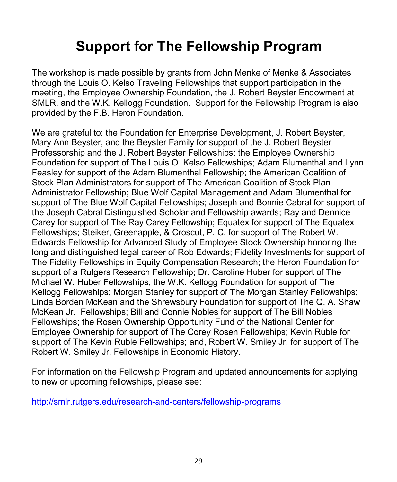### **Support for The Fellowship Program**

The workshop is made possible by grants from John Menke of Menke & Associates through the Louis O. Kelso Traveling Fellowships that support participation in the meeting, the Employee Ownership Foundation, the J. Robert Beyster Endowment at SMLR, and the W.K. Kellogg Foundation. Support for the Fellowship Program is also provided by the F.B. Heron Foundation.

We are grateful to: the Foundation for Enterprise Development, J. Robert Beyster, Mary Ann Beyster, and the Beyster Family for support of the J. Robert Beyster Professorship and the J. Robert Beyster Fellowships; the Employee Ownership Foundation for support of The Louis O. Kelso Fellowships; Adam Blumenthal and Lynn Feasley for support of the Adam Blumenthal Fellowship; the American Coalition of Stock Plan Administrators for support of The American Coalition of Stock Plan Administrator Fellowship; Blue Wolf Capital Management and Adam Blumenthal for support of The Blue Wolf Capital Fellowships; Joseph and Bonnie Cabral for support of the Joseph Cabral Distinguished Scholar and Fellowship awards; Ray and Dennice Carey for support of The Ray Carey Fellowship; Equatex for support of The Equatex Fellowships; Steiker, Greenapple, & Croscut, P. C. for support of The Robert W. Edwards Fellowship for Advanced Study of Employee Stock Ownership honoring the long and distinguished legal career of Rob Edwards; Fidelity Investments for support of The Fidelity Fellowships in Equity Compensation Research; the Heron Foundation for support of a Rutgers Research Fellowship; Dr. Caroline Huber for support of The Michael W. Huber Fellowships; the W.K. Kellogg Foundation for support of The Kellogg Fellowships; Morgan Stanley for support of The Morgan Stanley Fellowships; Linda Borden McKean and the Shrewsbury Foundation for support of The Q. A. Shaw McKean Jr. Fellowships; Bill and Connie Nobles for support of The Bill Nobles Fellowships; the Rosen Ownership Opportunity Fund of the National Center for Employee Ownership for support of The Corey Rosen Fellowships; Kevin Ruble for support of The Kevin Ruble Fellowships; and, Robert W. Smiley Jr. for support of The Robert W. Smiley Jr. Fellowships in Economic History.

For information on the Fellowship Program and updated announcements for applying to new or upcoming fellowships, please see:

[http://smlr.rutgers.edu/research](http://smlr.rutgers.edu/research-and-centers/fellowship-programs)-and-centers/fellowship-programs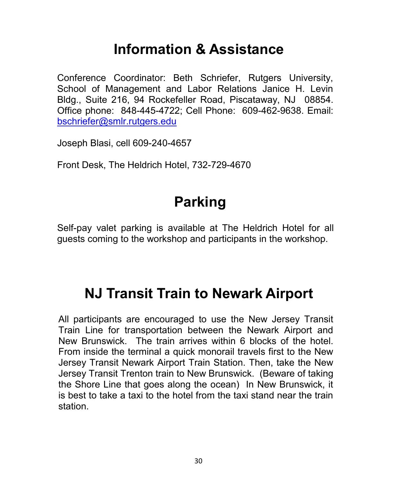### **Information & Assistance**

Conference Coordinator: Beth Schriefer, Rutgers University, School of Management and Labor Relations Janice H. Levin Bldg., Suite 216, 94 Rockefeller Road, Piscataway, NJ 08854. Office phone: 848-445-4722; Cell Phone: 609-462-9638. Email: [bschriefer@smlr.rutgers.edu](mailto:bschriefer@smlr.rutgers.edu)

Joseph Blasi, cell 609-240-4657

Front Desk, The Heldrich Hotel, 732-729-4670

### **Parking**

Self-pay valet parking is available at The Heldrich Hotel for all guests coming to the workshop and participants in the workshop.

### **NJ Transit Train to Newark Airport**

All participants are encouraged to use the New Jersey Transit Train Line for transportation between the Newark Airport and New Brunswick. The train arrives within 6 blocks of the hotel. From inside the terminal a quick monorail travels first to the New Jersey Transit Newark Airport Train Station. Then, take the New Jersey Transit Trenton train to New Brunswick. (Beware of taking the Shore Line that goes along the ocean) In New Brunswick, it is best to take a taxi to the hotel from the taxi stand near the train station.